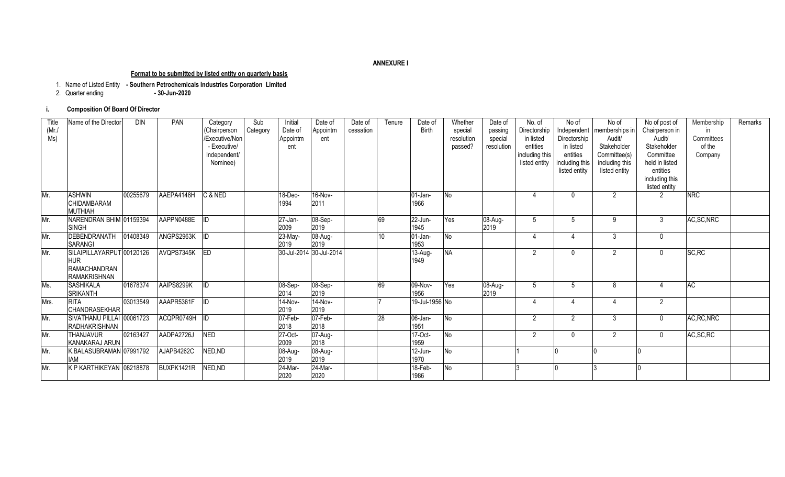#### **ANNEXURE I**

#### **Format to be submitted by listed entity on quarterly basis**

1. Name of Listed Entity **- Southern Petrochemicals Industries Corporation Limited**

2. Quarter ending **- 30-Jun-2020**

### **i. Composition Of Board Of Director**

| Title<br>(Mr)<br>MS) | Name of the Director                                                                  | <b>DIN</b> | PAN           | Category<br>(Chairperson<br>Executive/Non<br>- Executive/<br>Independent/<br>Nominee) | Sub<br>Category | Initial<br>Date of<br>Appointm<br>ent | Date of<br>Appointm<br>ent | Date of<br>cessation | Tenure | Date of<br><b>Birth</b> | Whether<br>special<br>resolution<br>passed? | Date of<br>passing<br>special<br>resolution | No. of<br>Directorship<br>in listed<br>entities<br>including this<br>listed entity | No of<br>Directorship<br>in listed<br>entities<br>including this<br>listed entity | No of<br>Independent   memberships in<br>Audit/<br>Stakeholder<br>Committee(s)<br>including this<br>listed entity | No of post of<br>Chairperson in<br>Audit/<br>Stakeholder<br>Committee<br>held in listed<br>entities<br>including this<br>listed entity | Membership<br>in<br>Committees<br>of the<br>Company | Remarks |
|----------------------|---------------------------------------------------------------------------------------|------------|---------------|---------------------------------------------------------------------------------------|-----------------|---------------------------------------|----------------------------|----------------------|--------|-------------------------|---------------------------------------------|---------------------------------------------|------------------------------------------------------------------------------------|-----------------------------------------------------------------------------------|-------------------------------------------------------------------------------------------------------------------|----------------------------------------------------------------------------------------------------------------------------------------|-----------------------------------------------------|---------|
| Mr.                  | <b>ASHWIN</b><br>CHIDAMBARAM<br><b>MUTHIAH</b>                                        | 00255679   | AAEPA4148H    | C & NED                                                                               |                 | 18-Dec-<br>1994                       | 16-Nov-<br>2011            |                      |        | 01-Jan-<br>1966         | <b>No</b>                                   |                                             |                                                                                    |                                                                                   | $\overline{2}$                                                                                                    | 2                                                                                                                                      | <b>NRC</b>                                          |         |
| Mr.                  | NARENDRAN BHIM 01159394<br><b>SINGH</b>                                               |            | AAPPN0488E ID |                                                                                       |                 | 27-Jan-<br>2009                       | 08-Sep-<br>2019            |                      | 69     | 22-Jun-<br>1945         | Yes                                         | 08-Aug-<br>2019                             | .5                                                                                 | 5                                                                                 | 9                                                                                                                 | 3                                                                                                                                      | AC, SC, NRC                                         |         |
| Mr.                  | DEBENDRANATH<br><b>SARANGI</b>                                                        | 01408349   | ANGPS2963K ID |                                                                                       |                 | 23-May-<br>2019                       | 08-Aug-<br>2019            |                      | 10     | $01$ -Jan-<br>1953      | $\overline{R}$                              |                                             |                                                                                    | Δ                                                                                 | $\mathbf{3}$                                                                                                      | $\mathbf 0$                                                                                                                            |                                                     |         |
| Mr.                  | SILAIPILLAYARPUT 00120126<br><b>HUR</b><br><b>RAMACHANDRAN</b><br><b>RAMAKRISHNAN</b> |            | AVQPS7345K ED |                                                                                       |                 |                                       | 30-Jul-2014 30-Jul-2014    |                      |        | $13-Aug-$<br>1949       | <b>NA</b>                                   |                                             | $\overline{2}$                                                                     | $\Omega$                                                                          | $\mathcal{P}$                                                                                                     | $\mathbf{0}$                                                                                                                           | SC, RC                                              |         |
| Ms.                  | <b>SASHIKALA</b><br><b>SRIKANTH</b>                                                   | 01678374   | AAIPS8299K    | ID                                                                                    |                 | 08-Sep-<br>2014                       | 08-Sep-<br>2019            |                      | 69     | 09-Nov-<br>1956         | Yes                                         | 08-Aug-<br>2019                             | $\overline{5}$                                                                     | 5                                                                                 | 8                                                                                                                 | 4                                                                                                                                      | AC                                                  |         |
| Mrs.                 | <b>RITA</b><br><b>CHANDRASEKHAR</b>                                                   | 03013549   | AAAPR5361F ID |                                                                                       |                 | 14-Nov-<br>2019                       | 14-Nov-<br>2019            |                      |        | 19-Jul-1956 No          |                                             |                                             |                                                                                    | Δ                                                                                 |                                                                                                                   | $\overline{2}$                                                                                                                         |                                                     |         |
| Mr.                  | SIVATHANU PILLAI 00061723<br><b>RADHAKRISHNAN</b>                                     |            | ACQPR0749H ID |                                                                                       |                 | 07-Feb-<br>2018                       | 07-Feb-<br>2018            |                      | 28     | 06-Jan-<br>1951         | No                                          |                                             | $\mathfrak{p}$                                                                     | $\mathcal{P}$                                                                     | $\mathbf{3}$                                                                                                      | $\mathbf 0$                                                                                                                            | AC, RC, NRC                                         |         |
| Mr.                  | <b>THANJAVUR</b><br>KANAKARAJ ARUN                                                    | 02163427   | AADPA2726J    | <b>NED</b>                                                                            |                 | 27-Oct-<br>2009                       | 07-Aug-<br>2018            |                      |        | 17-Oct-<br>1959         | No                                          |                                             | $\overline{2}$                                                                     | $\Omega$                                                                          | $\overline{2}$                                                                                                    | $\mathbf{0}$                                                                                                                           | AC, SC, RC                                          |         |
| Mr.                  | K.BALASUBRAMAN 07991792<br><b>IAM</b>                                                 |            | AJAPB4262C    | NED, ND                                                                               |                 | 08-Aug-<br>2019                       | 08-Aug-<br>2019            |                      |        | $12$ -Jun-<br>1970      | No                                          |                                             |                                                                                    |                                                                                   |                                                                                                                   |                                                                                                                                        |                                                     |         |
| Mr.                  | K P KARTHIKEYAN 08218878                                                              |            | BUXPK1421R    | NED, ND                                                                               |                 | 24-Mar-<br>2020                       | 24-Mar-<br>2020            |                      |        | 18-Feb-<br>1986         | No                                          |                                             |                                                                                    |                                                                                   |                                                                                                                   |                                                                                                                                        |                                                     |         |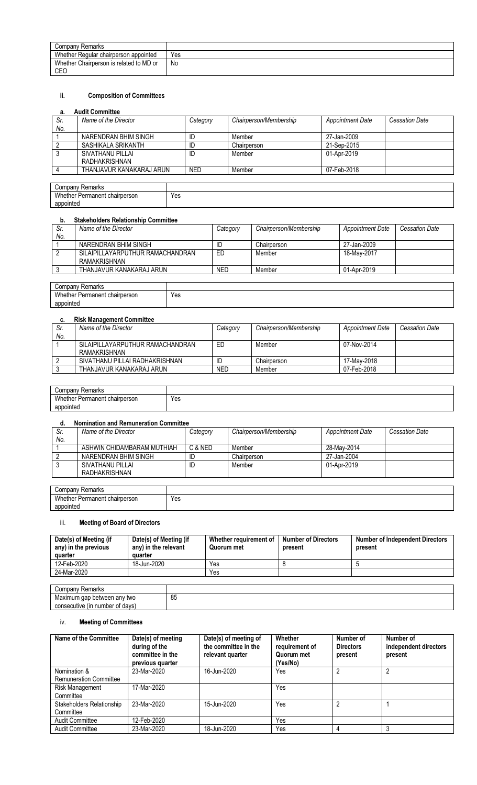| Company<br><sup>,</sup> Remarks                |     |
|------------------------------------------------|-----|
| Whether Regular chairperson appointed          | Yes |
| Whether Chairperson is related to MD or<br>CEO | No  |

# **ii. Composition of Committees**

# **a. Audit Committee**

| а.  | AUUIL VUIIIIIILLEE       |            |                        |                         |                       |
|-----|--------------------------|------------|------------------------|-------------------------|-----------------------|
| Sr. | Name of the Director     | Category   | Chairperson/Membership | <b>Appointment Date</b> | <b>Cessation Date</b> |
| No. |                          |            |                        |                         |                       |
|     | NARENDRAN BHIM SINGH     | ID         | Member                 | 27-Jan-2009             |                       |
|     | SASHIKALA SRIKANTH       | ID         | Chairperson            | 21-Sep-2015             |                       |
|     | SIVATHANU PILLAI         | ID         | Member                 | 01-Apr-2019             |                       |
|     | RADHAKRISHNAN            |            |                        |                         |                       |
|     | THANJAVUR KANAKARAJ ARUN | <b>NED</b> | Member                 | 07-Feb-2018             |                       |
|     |                          |            |                        |                         |                       |

| Company<br>Remarks                 |            |
|------------------------------------|------------|
| Whether Permanent c<br>chairperson | Yes<br>$-$ |
| appointed                          |            |

### **b. Stakeholders Relationship Committee**

| Sr. | Name of the Director             | Category   | Chairperson/Membership | <b>Appointment Date</b> | Cessation Date |
|-----|----------------------------------|------------|------------------------|-------------------------|----------------|
| No. |                                  |            |                        |                         |                |
|     | NARENDRAN BHIM SINGH             | ID         | Chairperson            | 27-Jan-2009             |                |
|     | SILAIPILLAYARPUTHUR RAMACHANDRAN | ED         | Member                 | 18-May-2017             |                |
|     | RAMAKRISHNAN                     |            |                        |                         |                |
|     | THANJAVUR KANAKARAJ ARUN         | <b>NED</b> | Member                 | 01-Apr-2019             |                |
|     |                                  |            |                        |                         |                |
|     | Company Domarko                  |            |                        |                         |                |

| 'omnon'<br>⊀emarks<br>יש                                  |     |
|-----------------------------------------------------------|-----|
| M/h.<br>chairperson<br>Dormonon:<br>.ner<br>יהוות<br>$ -$ | Yes |
| appointed                                                 |     |
|                                                           |     |

## **c. Risk Management Committee**

| <b>Cessation Date</b> |
|-----------------------|
|                       |
|                       |
|                       |
|                       |
|                       |
|                       |

| Company<br><sup>.</sup> Remarks |     |
|---------------------------------|-----|
| Whether Permanent chairperson   | Yes |
| appointed                       |     |

## **d. Nomination and Remuneration Committee**

| Sr. | Name of the Director       | Category | Chairperson/Membership | Appointment Date | Cessation Date |
|-----|----------------------------|----------|------------------------|------------------|----------------|
| No. |                            |          |                        |                  |                |
|     | ASHWIN CHIDAMBARAM MUTHIAH | C & NED  | Member                 | 28-Mav-2014      |                |
|     | NARENDRAN BHIM SINGH       | ID       | Chairperson            | 27-Jan-2004      |                |
|     | SIVATHANU PILLAI           | ID       | Member                 | 01-Apr-2019      |                |
|     | RADHAKRISHNAN              |          |                        |                  |                |
|     |                            |          |                        |                  |                |

| Remarks<br>∵ompany ت                 |                |
|--------------------------------------|----------------|
| Whether<br>her Permanent chairperson | $\cdot$<br>Yes |
| appointed                            |                |

# iii. **Meeting of Board of Directors**

| Date(s) of Meeting (if<br>any) in the previous<br>quarter | Date(s) of Meeting (if<br>any) in the relevant<br>quarter | Whether requirement of<br>Quorum met | <b>Number of Directors</b><br>present | <b>Number of Independent Directors</b><br>present |
|-----------------------------------------------------------|-----------------------------------------------------------|--------------------------------------|---------------------------------------|---------------------------------------------------|
| 12-Feb-2020                                               | 18-Jun-2020                                               | Yes                                  |                                       |                                                   |
| 24-Mar-2020                                               |                                                           | Yes                                  |                                       |                                                   |
|                                                           |                                                           |                                      |                                       |                                                   |

| Remarks<br>Company                   |    |
|--------------------------------------|----|
| Maximum gap between any two          | 85 |
| n number of davs)<br>consecutive (in |    |

## iv. **Meeting of Committees**

| Name of the Committee         | Date(s) of meeting<br>during of the<br>committee in the<br>previous quarter | Date(s) of meeting of<br>the committee in the<br>relevant quarter | Whether<br>requirement of<br>Quorum met<br>(Yes/No) | Number of<br><b>Directors</b><br>present | Number of<br>independent directors<br>present |
|-------------------------------|-----------------------------------------------------------------------------|-------------------------------------------------------------------|-----------------------------------------------------|------------------------------------------|-----------------------------------------------|
| Nomination &                  | 23-Mar-2020                                                                 | 16-Jun-2020                                                       | Yes                                                 |                                          | Ω                                             |
| <b>Remuneration Committee</b> |                                                                             |                                                                   |                                                     |                                          |                                               |
| Risk Management               | 17-Mar-2020                                                                 |                                                                   | Yes                                                 |                                          |                                               |
| Committee                     |                                                                             |                                                                   |                                                     |                                          |                                               |
| Stakeholders Relationship     | 23-Mar-2020                                                                 | 15-Jun-2020                                                       | Yes                                                 |                                          |                                               |
| Committee                     |                                                                             |                                                                   |                                                     |                                          |                                               |
| <b>Audit Committee</b>        | 12-Feb-2020                                                                 |                                                                   | Yes                                                 |                                          |                                               |
| <b>Audit Committee</b>        | 23-Mar-2020                                                                 | 18-Jun-2020                                                       | Yes                                                 |                                          |                                               |